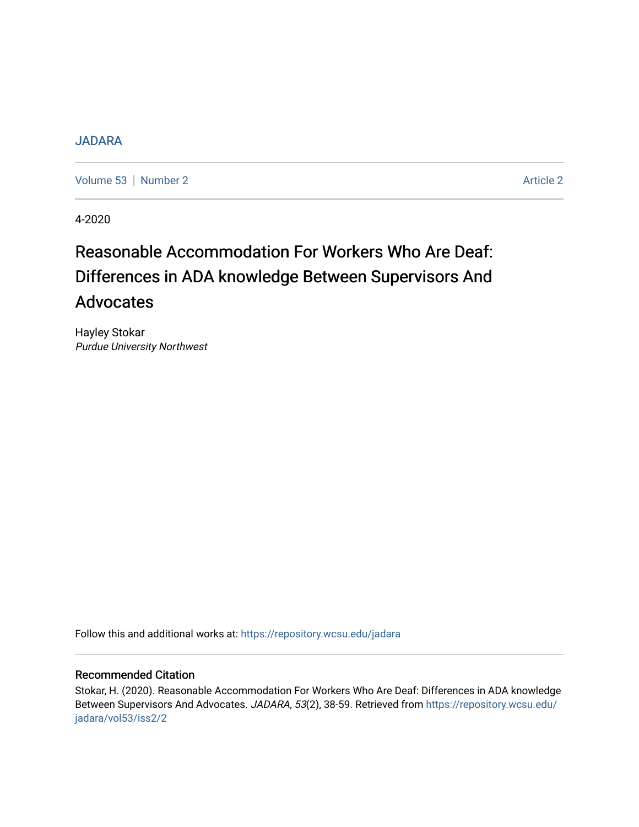## [JADARA](https://repository.wcsu.edu/jadara)

[Volume 53](https://repository.wcsu.edu/jadara/vol53) | [Number 2](https://repository.wcsu.edu/jadara/vol53/iss2) Article 2

4-2020

# Reasonable Accommodation For Workers Who Are Deaf: Differences in ADA knowledge Between Supervisors And Advocates

Hayley Stokar Purdue University Northwest

Follow this and additional works at: [https://repository.wcsu.edu/jadara](https://repository.wcsu.edu/jadara?utm_source=repository.wcsu.edu%2Fjadara%2Fvol53%2Fiss2%2F2&utm_medium=PDF&utm_campaign=PDFCoverPages)

#### Recommended Citation

Stokar, H. (2020). Reasonable Accommodation For Workers Who Are Deaf: Differences in ADA knowledge Between Supervisors And Advocates. JADARA, 53(2), 38-59. Retrieved from [https://repository.wcsu.edu/](https://repository.wcsu.edu/jadara/vol53/iss2/2?utm_source=repository.wcsu.edu%2Fjadara%2Fvol53%2Fiss2%2F2&utm_medium=PDF&utm_campaign=PDFCoverPages) [jadara/vol53/iss2/2](https://repository.wcsu.edu/jadara/vol53/iss2/2?utm_source=repository.wcsu.edu%2Fjadara%2Fvol53%2Fiss2%2F2&utm_medium=PDF&utm_campaign=PDFCoverPages)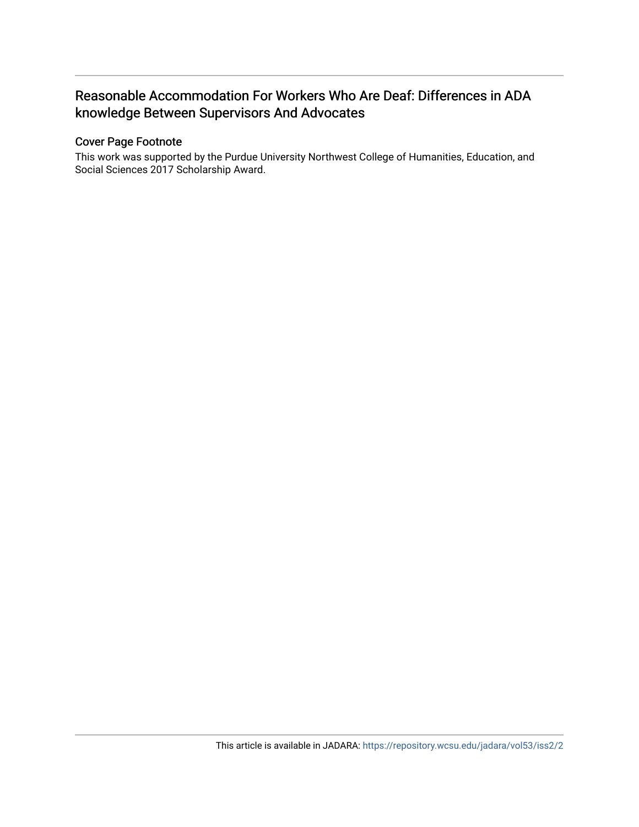## Reasonable Accommodation For Workers Who Are Deaf: Differences in ADA knowledge Between Supervisors And Advocates

## Cover Page Footnote

This work was supported by the Purdue University Northwest College of Humanities, Education, and Social Sciences 2017 Scholarship Award.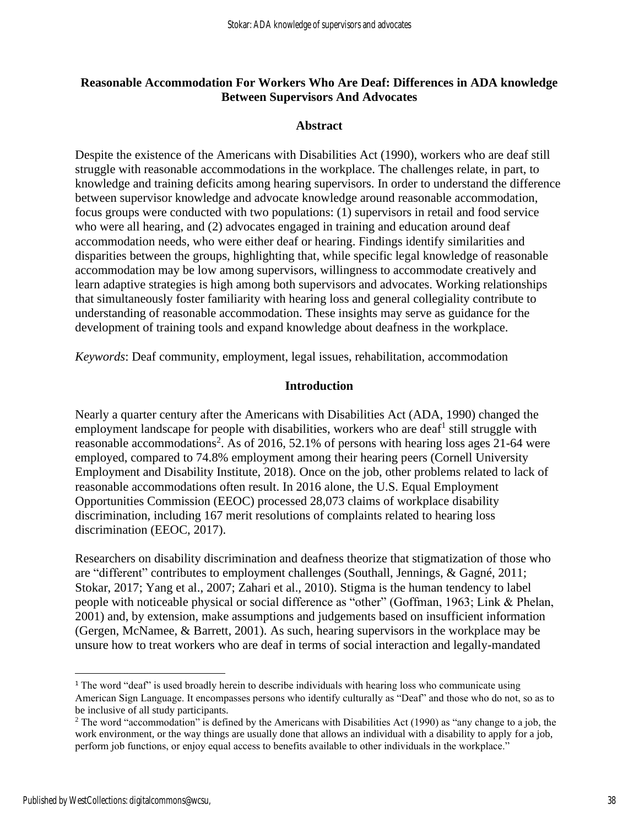## **Reasonable Accommodation For Workers Who Are Deaf: Differences in ADA knowledge Between Supervisors And Advocates**

## **Abstract**

Despite the existence of the Americans with Disabilities Act (1990), workers who are deaf still struggle with reasonable accommodations in the workplace. The challenges relate, in part, to knowledge and training deficits among hearing supervisors. In order to understand the difference between supervisor knowledge and advocate knowledge around reasonable accommodation, focus groups were conducted with two populations: (1) supervisors in retail and food service who were all hearing, and (2) advocates engaged in training and education around deaf accommodation needs, who were either deaf or hearing. Findings identify similarities and disparities between the groups, highlighting that, while specific legal knowledge of reasonable accommodation may be low among supervisors, willingness to accommodate creatively and learn adaptive strategies is high among both supervisors and advocates. Working relationships that simultaneously foster familiarity with hearing loss and general collegiality contribute to understanding of reasonable accommodation. These insights may serve as guidance for the development of training tools and expand knowledge about deafness in the workplace.

*Keywords*: Deaf community, employment, legal issues, rehabilitation, accommodation

## **Introduction**

Nearly a quarter century after the Americans with Disabilities Act (ADA, 1990) changed the employment landscape for people with disabilities, workers who are deaf<sup>1</sup> still struggle with reasonable accommodations<sup>2</sup>. As of 2016, 52.1% of persons with hearing loss ages 21-64 were employed, compared to 74.8% employment among their hearing peers (Cornell University Employment and Disability Institute, 2018). Once on the job, other problems related to lack of reasonable accommodations often result. In 2016 alone, the U.S. Equal Employment Opportunities Commission (EEOC) processed 28,073 claims of workplace disability discrimination, including 167 merit resolutions of complaints related to hearing loss discrimination (EEOC, 2017).

Researchers on disability discrimination and deafness theorize that stigmatization of those who are "different" contributes to employment challenges (Southall, Jennings, & Gagné, 2011; Stokar, 2017; Yang et al., 2007; Zahari et al., 2010). Stigma is the human tendency to label people with noticeable physical or social difference as "other" (Goffman, 1963; Link & Phelan, 2001) and, by extension, make assumptions and judgements based on insufficient information (Gergen, McNamee, & Barrett, 2001). As such, hearing supervisors in the workplace may be unsure how to treat workers who are deaf in terms of social interaction and legally-mandated

<sup>&</sup>lt;sup>1</sup> The word "deaf" is used broadly herein to describe individuals with hearing loss who communicate using American Sign Language. It encompasses persons who identify culturally as "Deaf" and those who do not, so as to be inclusive of all study participants.

<sup>&</sup>lt;sup>2</sup> The word "accommodation" is defined by the Americans with Disabilities Act (1990) as "any change to a job, the work environment, or the way things are usually done that allows an individual with a disability to apply for a job, perform job functions, or enjoy equal access to benefits available to other individuals in the workplace."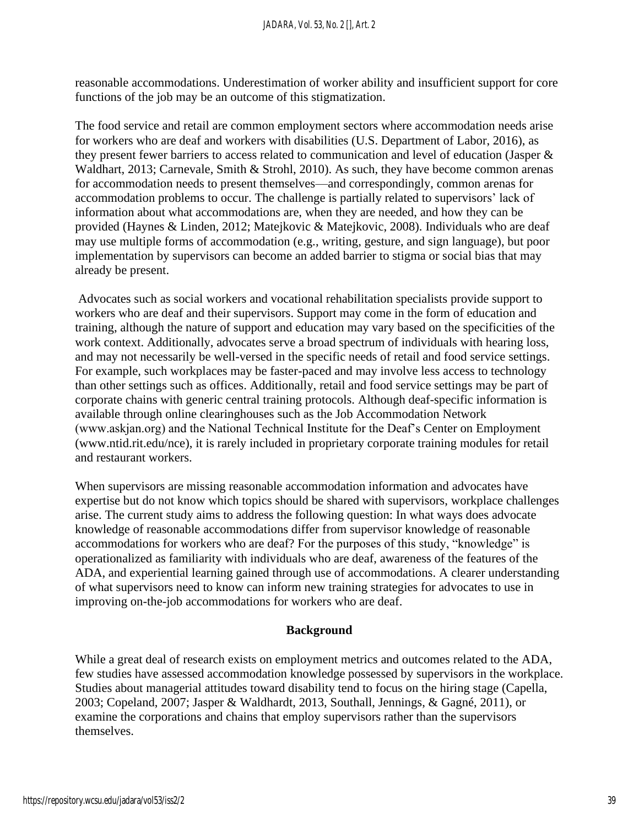reasonable accommodations. Underestimation of worker ability and insufficient support for core functions of the job may be an outcome of this stigmatization.

The food service and retail are common employment sectors where accommodation needs arise for workers who are deaf and workers with disabilities (U.S. Department of Labor, 2016), as they present fewer barriers to access related to communication and level of education (Jasper & Waldhart, 2013; Carnevale, Smith & Strohl, 2010). As such, they have become common arenas for accommodation needs to present themselves—and correspondingly, common arenas for accommodation problems to occur. The challenge is partially related to supervisors' lack of information about what accommodations are, when they are needed, and how they can be provided (Haynes & Linden, 2012; Matejkovic & Matejkovic, 2008). Individuals who are deaf may use multiple forms of accommodation (e.g., writing, gesture, and sign language), but poor implementation by supervisors can become an added barrier to stigma or social bias that may already be present.

Advocates such as social workers and vocational rehabilitation specialists provide support to workers who are deaf and their supervisors. Support may come in the form of education and training, although the nature of support and education may vary based on the specificities of the work context. Additionally, advocates serve a broad spectrum of individuals with hearing loss, and may not necessarily be well-versed in the specific needs of retail and food service settings. For example, such workplaces may be faster-paced and may involve less access to technology than other settings such as offices. Additionally, retail and food service settings may be part of corporate chains with generic central training protocols. Although deaf-specific information is available through online clearinghouses such as the Job Accommodation Network (www.askjan.org) and the National Technical Institute for the Deaf's Center on Employment (www.ntid.rit.edu/nce), it is rarely included in proprietary corporate training modules for retail and restaurant workers.

When supervisors are missing reasonable accommodation information and advocates have expertise but do not know which topics should be shared with supervisors, workplace challenges arise. The current study aims to address the following question: In what ways does advocate knowledge of reasonable accommodations differ from supervisor knowledge of reasonable accommodations for workers who are deaf? For the purposes of this study, "knowledge" is operationalized as familiarity with individuals who are deaf, awareness of the features of the ADA, and experiential learning gained through use of accommodations. A clearer understanding of what supervisors need to know can inform new training strategies for advocates to use in improving on-the-job accommodations for workers who are deaf.

## **Background**

While a great deal of research exists on employment metrics and outcomes related to the ADA, few studies have assessed accommodation knowledge possessed by supervisors in the workplace. Studies about managerial attitudes toward disability tend to focus on the hiring stage (Capella, 2003; Copeland, 2007; Jasper & Waldhardt, 2013, Southall, Jennings, & Gagné, 2011), or examine the corporations and chains that employ supervisors rather than the supervisors themselves.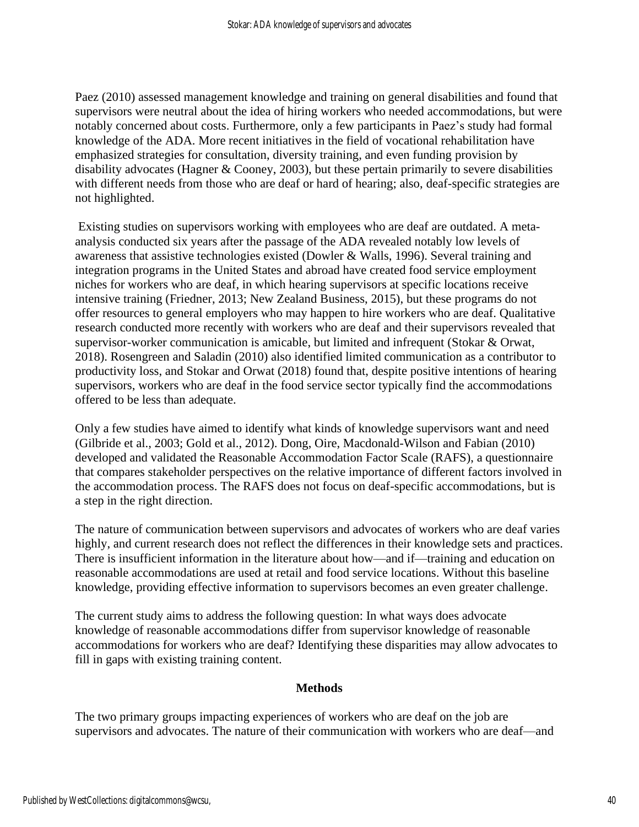Paez (2010) assessed management knowledge and training on general disabilities and found that supervisors were neutral about the idea of hiring workers who needed accommodations, but were notably concerned about costs. Furthermore, only a few participants in Paez's study had formal knowledge of the ADA. More recent initiatives in the field of vocational rehabilitation have emphasized strategies for consultation, diversity training, and even funding provision by disability advocates (Hagner & Cooney, 2003), but these pertain primarily to severe disabilities with different needs from those who are deaf or hard of hearing; also, deaf-specific strategies are not highlighted.

Existing studies on supervisors working with employees who are deaf are outdated. A metaanalysis conducted six years after the passage of the ADA revealed notably low levels of awareness that assistive technologies existed (Dowler & Walls, 1996). Several training and integration programs in the United States and abroad have created food service employment niches for workers who are deaf, in which hearing supervisors at specific locations receive intensive training (Friedner, 2013; New Zealand Business, 2015), but these programs do not offer resources to general employers who may happen to hire workers who are deaf. Qualitative research conducted more recently with workers who are deaf and their supervisors revealed that supervisor-worker communication is amicable, but limited and infrequent (Stokar & Orwat, 2018). Rosengreen and Saladin (2010) also identified limited communication as a contributor to productivity loss, and Stokar and Orwat (2018) found that, despite positive intentions of hearing supervisors, workers who are deaf in the food service sector typically find the accommodations offered to be less than adequate.

Only a few studies have aimed to identify what kinds of knowledge supervisors want and need (Gilbride et al., 2003; Gold et al., 2012). Dong, Oire, Macdonald-Wilson and Fabian (2010) developed and validated the Reasonable Accommodation Factor Scale (RAFS), a questionnaire that compares stakeholder perspectives on the relative importance of different factors involved in the accommodation process. The RAFS does not focus on deaf-specific accommodations, but is a step in the right direction.

The nature of communication between supervisors and advocates of workers who are deaf varies highly, and current research does not reflect the differences in their knowledge sets and practices. There is insufficient information in the literature about how—and if—training and education on reasonable accommodations are used at retail and food service locations. Without this baseline knowledge, providing effective information to supervisors becomes an even greater challenge.

The current study aims to address the following question: In what ways does advocate knowledge of reasonable accommodations differ from supervisor knowledge of reasonable accommodations for workers who are deaf? Identifying these disparities may allow advocates to fill in gaps with existing training content.

## **Methods**

The two primary groups impacting experiences of workers who are deaf on the job are supervisors and advocates. The nature of their communication with workers who are deaf—and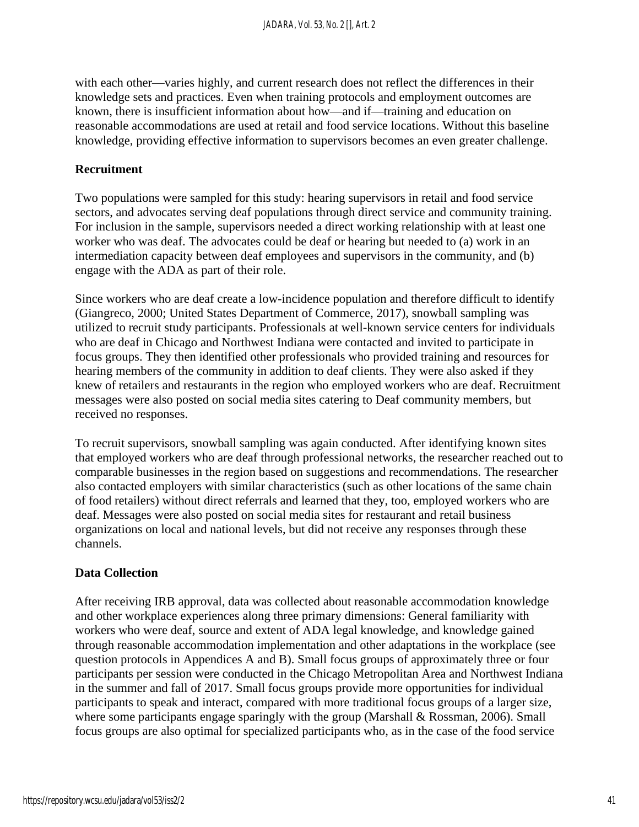with each other—varies highly, and current research does not reflect the differences in their knowledge sets and practices. Even when training protocols and employment outcomes are known, there is insufficient information about how—and if—training and education on reasonable accommodations are used at retail and food service locations. Without this baseline knowledge, providing effective information to supervisors becomes an even greater challenge.

#### **Recruitment**

Two populations were sampled for this study: hearing supervisors in retail and food service sectors, and advocates serving deaf populations through direct service and community training. For inclusion in the sample, supervisors needed a direct working relationship with at least one worker who was deaf. The advocates could be deaf or hearing but needed to (a) work in an intermediation capacity between deaf employees and supervisors in the community, and (b) engage with the ADA as part of their role.

Since workers who are deaf create a low-incidence population and therefore difficult to identify (Giangreco, 2000; United States Department of Commerce, 2017), snowball sampling was utilized to recruit study participants. Professionals at well-known service centers for individuals who are deaf in Chicago and Northwest Indiana were contacted and invited to participate in focus groups. They then identified other professionals who provided training and resources for hearing members of the community in addition to deaf clients. They were also asked if they knew of retailers and restaurants in the region who employed workers who are deaf. Recruitment messages were also posted on social media sites catering to Deaf community members, but received no responses.

To recruit supervisors, snowball sampling was again conducted. After identifying known sites that employed workers who are deaf through professional networks, the researcher reached out to comparable businesses in the region based on suggestions and recommendations. The researcher also contacted employers with similar characteristics (such as other locations of the same chain of food retailers) without direct referrals and learned that they, too, employed workers who are deaf. Messages were also posted on social media sites for restaurant and retail business organizations on local and national levels, but did not receive any responses through these channels.

## **Data Collection**

After receiving IRB approval, data was collected about reasonable accommodation knowledge and other workplace experiences along three primary dimensions: General familiarity with workers who were deaf, source and extent of ADA legal knowledge, and knowledge gained through reasonable accommodation implementation and other adaptations in the workplace (see question protocols in Appendices A and B). Small focus groups of approximately three or four participants per session were conducted in the Chicago Metropolitan Area and Northwest Indiana in the summer and fall of 2017. Small focus groups provide more opportunities for individual participants to speak and interact, compared with more traditional focus groups of a larger size, where some participants engage sparingly with the group (Marshall & Rossman, 2006). Small focus groups are also optimal for specialized participants who, as in the case of the food service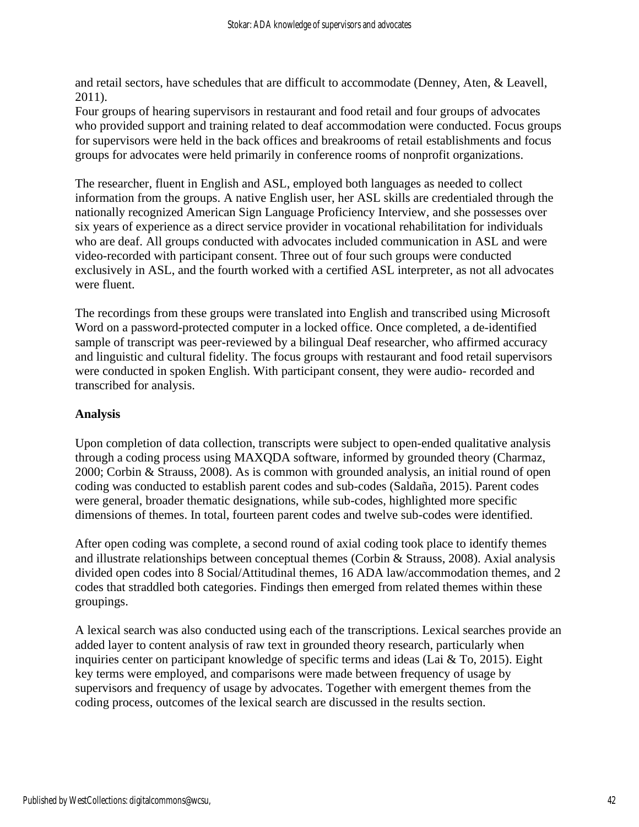and retail sectors, have schedules that are difficult to accommodate (Denney, Aten, & Leavell, 2011).

Four groups of hearing supervisors in restaurant and food retail and four groups of advocates who provided support and training related to deaf accommodation were conducted. Focus groups for supervisors were held in the back offices and breakrooms of retail establishments and focus groups for advocates were held primarily in conference rooms of nonprofit organizations.

The researcher, fluent in English and ASL, employed both languages as needed to collect information from the groups. A native English user, her ASL skills are credentialed through the nationally recognized American Sign Language Proficiency Interview, and she possesses over six years of experience as a direct service provider in vocational rehabilitation for individuals who are deaf. All groups conducted with advocates included communication in ASL and were video-recorded with participant consent. Three out of four such groups were conducted exclusively in ASL, and the fourth worked with a certified ASL interpreter, as not all advocates were fluent.

The recordings from these groups were translated into English and transcribed using Microsoft Word on a password-protected computer in a locked office. Once completed, a de-identified sample of transcript was peer-reviewed by a bilingual Deaf researcher, who affirmed accuracy and linguistic and cultural fidelity. The focus groups with restaurant and food retail supervisors were conducted in spoken English. With participant consent, they were audio- recorded and transcribed for analysis.

## **Analysis**

Upon completion of data collection, transcripts were subject to open-ended qualitative analysis through a coding process using MAXQDA software, informed by grounded theory (Charmaz, 2000; Corbin & Strauss, 2008). As is common with grounded analysis, an initial round of open coding was conducted to establish parent codes and sub-codes (Saldaña, 2015). Parent codes were general, broader thematic designations, while sub-codes, highlighted more specific dimensions of themes. In total, fourteen parent codes and twelve sub-codes were identified.

After open coding was complete, a second round of axial coding took place to identify themes and illustrate relationships between conceptual themes (Corbin & Strauss, 2008). Axial analysis divided open codes into 8 Social/Attitudinal themes, 16 ADA law/accommodation themes, and 2 codes that straddled both categories. Findings then emerged from related themes within these groupings.

A lexical search was also conducted using each of the transcriptions. Lexical searches provide an added layer to content analysis of raw text in grounded theory research, particularly when inquiries center on participant knowledge of specific terms and ideas (Lai & To, 2015). Eight key terms were employed, and comparisons were made between frequency of usage by supervisors and frequency of usage by advocates. Together with emergent themes from the coding process, outcomes of the lexical search are discussed in the results section.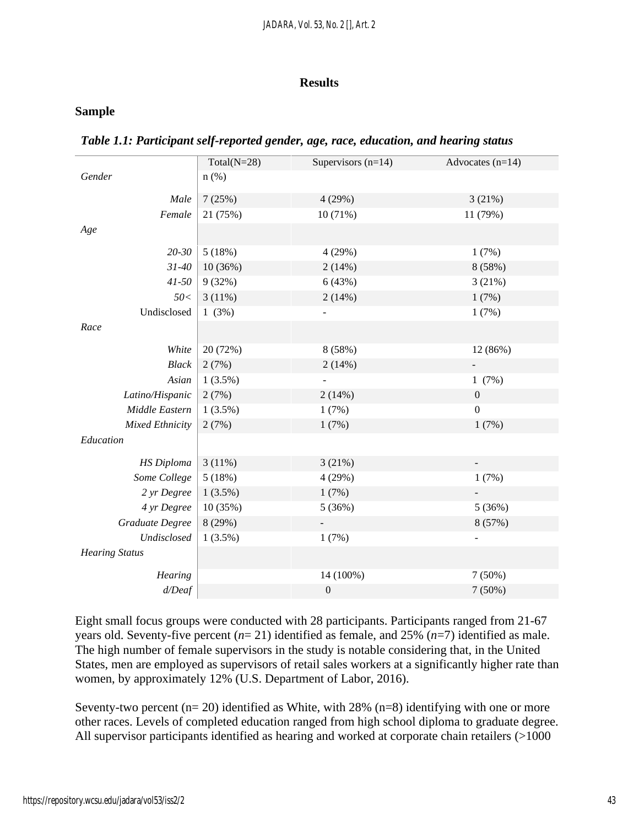#### **Results**

## **Sample**

|                        | Total( $N=28$ ) | Supervisors $(n=14)$ | Advocates $(n=14)$ |
|------------------------|-----------------|----------------------|--------------------|
| Gender                 | $n$ (%)         |                      |                    |
| Male                   | 7(25%)          | 4(29%)               | 3(21%)             |
| Female                 | 21 (75%)        | 10 (71%)             | 11 (79%)           |
| Age                    |                 |                      |                    |
| $20 - 30$              | 5(18%)          | 4 (29%)              | 1(7%)              |
| $31 - 40$              | 10 (36%)        | 2(14%)               | 8 (58%)            |
| $41 - 50$              | 9(32%)          | 6(43%)               | 3(21%)             |
| 50<                    | 3(11%)          | 2(14%)               | 1(7%)              |
| Undisclosed            | 1(3%)           |                      | 1(7%)              |
| Race                   |                 |                      |                    |
| White                  | 20 (72%)        | 8 (58%)              | 12 (86%)           |
| <b>Black</b>           | 2(7%)           | 2(14%)               |                    |
| Asian                  | $1(3.5\%)$      |                      | 1(7%)              |
| Latino/Hispanic        | 2(7%)           | 2(14%)               | $\boldsymbol{0}$   |
| Middle Eastern         | 1(3.5%)         | 1(7%)                | $\boldsymbol{0}$   |
| <b>Mixed Ethnicity</b> | 2(7%)           | 1(7%)                | 1(7%)              |
| Education              |                 |                      |                    |
| <b>HS</b> Diploma      | 3(11%)          | 3(21%)               |                    |
| Some College           | 5(18%)          | 4(29%)               | 1(7%)              |
| 2 yr Degree            | $1(3.5\%)$      | 1(7%)                |                    |
| 4 yr Degree            | 10 (35%)        | 5(36%)               | 5(36%)             |
| Graduate Degree        | 8 (29%)         |                      | 8 (57%)            |
| Undisclosed            | 1(3.5%)         | 1(7%)                |                    |
| <b>Hearing Status</b>  |                 |                      |                    |
| Hearing                |                 | 14 (100%)            | 7(50%)             |
| $d/$ Deaf              |                 | $\boldsymbol{0}$     | 7(50%)             |
|                        |                 |                      |                    |

Eight small focus groups were conducted with 28 participants. Participants ranged from 21-67 years old. Seventy-five percent (*n*= 21) identified as female, and 25% (*n*=7) identified as male. The high number of female supervisors in the study is notable considering that, in the United States, men are employed as supervisors of retail sales workers at a significantly higher rate than women, by approximately 12% (U.S. Department of Labor, 2016).

Seventy-two percent  $(n= 20)$  identified as White, with 28%  $(n=8)$  identifying with one or more other races. Levels of completed education ranged from high school diploma to graduate degree. All supervisor participants identified as hearing and worked at corporate chain retailers (>1000)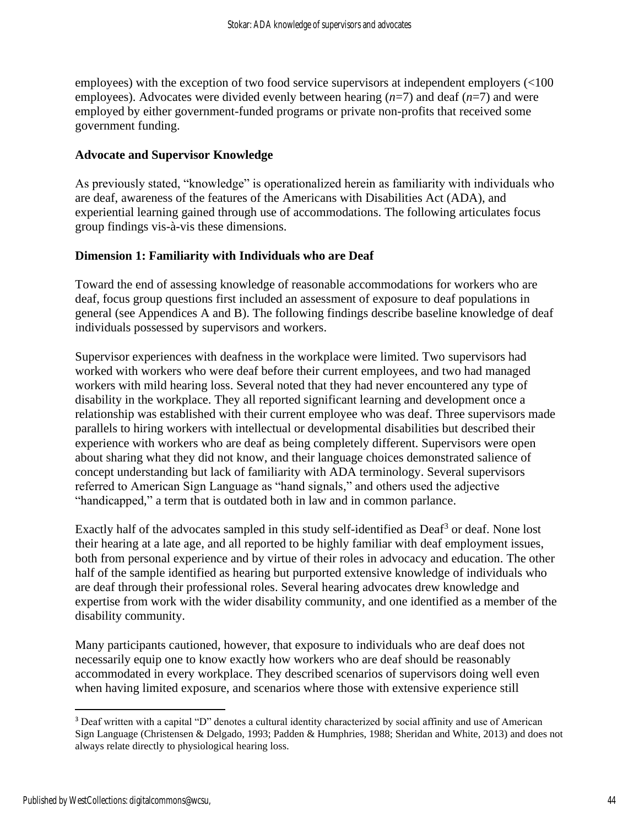employees) with the exception of two food service supervisors at independent employers (<100 employees). Advocates were divided evenly between hearing (*n*=7) and deaf (*n*=7) and were employed by either government-funded programs or private non-profits that received some government funding.

## **Advocate and Supervisor Knowledge**

As previously stated, "knowledge" is operationalized herein as familiarity with individuals who are deaf, awareness of the features of the Americans with Disabilities Act (ADA), and experiential learning gained through use of accommodations. The following articulates focus group findings vis-à-vis these dimensions.

## **Dimension 1: Familiarity with Individuals who are Deaf**

Toward the end of assessing knowledge of reasonable accommodations for workers who are deaf, focus group questions first included an assessment of exposure to deaf populations in general (see Appendices A and B). The following findings describe baseline knowledge of deaf individuals possessed by supervisors and workers.

Supervisor experiences with deafness in the workplace were limited. Two supervisors had worked with workers who were deaf before their current employees, and two had managed workers with mild hearing loss. Several noted that they had never encountered any type of disability in the workplace. They all reported significant learning and development once a relationship was established with their current employee who was deaf. Three supervisors made parallels to hiring workers with intellectual or developmental disabilities but described their experience with workers who are deaf as being completely different. Supervisors were open about sharing what they did not know, and their language choices demonstrated salience of concept understanding but lack of familiarity with ADA terminology. Several supervisors referred to American Sign Language as "hand signals," and others used the adjective "handicapped," a term that is outdated both in law and in common parlance.

Exactly half of the advocates sampled in this study self-identified as  $\text{Daf}^3$  or deaf. None lost their hearing at a late age, and all reported to be highly familiar with deaf employment issues, both from personal experience and by virtue of their roles in advocacy and education. The other half of the sample identified as hearing but purported extensive knowledge of individuals who are deaf through their professional roles. Several hearing advocates drew knowledge and expertise from work with the wider disability community, and one identified as a member of the disability community.

Many participants cautioned, however, that exposure to individuals who are deaf does not necessarily equip one to know exactly how workers who are deaf should be reasonably accommodated in every workplace. They described scenarios of supervisors doing well even when having limited exposure, and scenarios where those with extensive experience still

<sup>3</sup> Deaf written with a capital "D" denotes a cultural identity characterized by social affinity and use of American Sign Language (Christensen & Delgado, 1993; Padden & Humphries, 1988; Sheridan and White, 2013) and does not always relate directly to physiological hearing loss.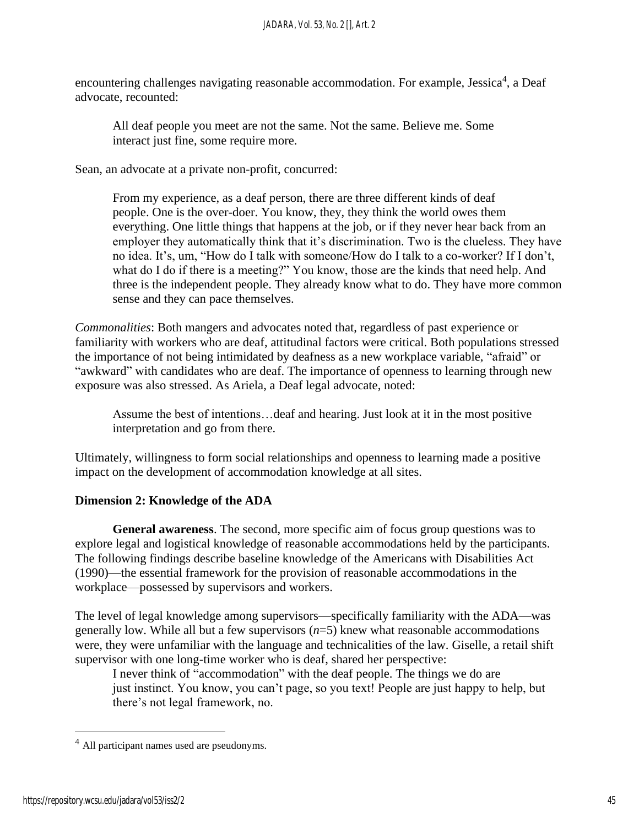encountering challenges navigating reasonable accommodation. For example, Jessica<sup>4</sup>, a Deaf advocate, recounted:

All deaf people you meet are not the same. Not the same. Believe me. Some interact just fine, some require more.

Sean, an advocate at a private non-profit, concurred:

From my experience, as a deaf person, there are three different kinds of deaf people. One is the over-doer. You know, they, they think the world owes them everything. One little things that happens at the job, or if they never hear back from an employer they automatically think that it's discrimination. Two is the clueless. They have no idea. It's, um, "How do I talk with someone/How do I talk to a co-worker? If I don't, what do I do if there is a meeting?" You know, those are the kinds that need help. And three is the independent people. They already know what to do. They have more common sense and they can pace themselves.

*Commonalities*: Both mangers and advocates noted that, regardless of past experience or familiarity with workers who are deaf, attitudinal factors were critical. Both populations stressed the importance of not being intimidated by deafness as a new workplace variable, "afraid" or "awkward" with candidates who are deaf. The importance of openness to learning through new exposure was also stressed. As Ariela, a Deaf legal advocate, noted:

Assume the best of intentions…deaf and hearing. Just look at it in the most positive interpretation and go from there.

Ultimately, willingness to form social relationships and openness to learning made a positive impact on the development of accommodation knowledge at all sites.

## **Dimension 2: Knowledge of the ADA**

**General awareness**. The second, more specific aim of focus group questions was to explore legal and logistical knowledge of reasonable accommodations held by the participants. The following findings describe baseline knowledge of the Americans with Disabilities Act (1990)—the essential framework for the provision of reasonable accommodations in the workplace—possessed by supervisors and workers.

The level of legal knowledge among supervisors—specifically familiarity with the ADA—was generally low. While all but a few supervisors (*n*=5) knew what reasonable accommodations were, they were unfamiliar with the language and technicalities of the law. Giselle, a retail shift supervisor with one long-time worker who is deaf, shared her perspective:

I never think of "accommodation" with the deaf people. The things we do are just instinct. You know, you can't page, so you text! People are just happy to help, but there's not legal framework, no.

<sup>4</sup> All participant names used are pseudonyms.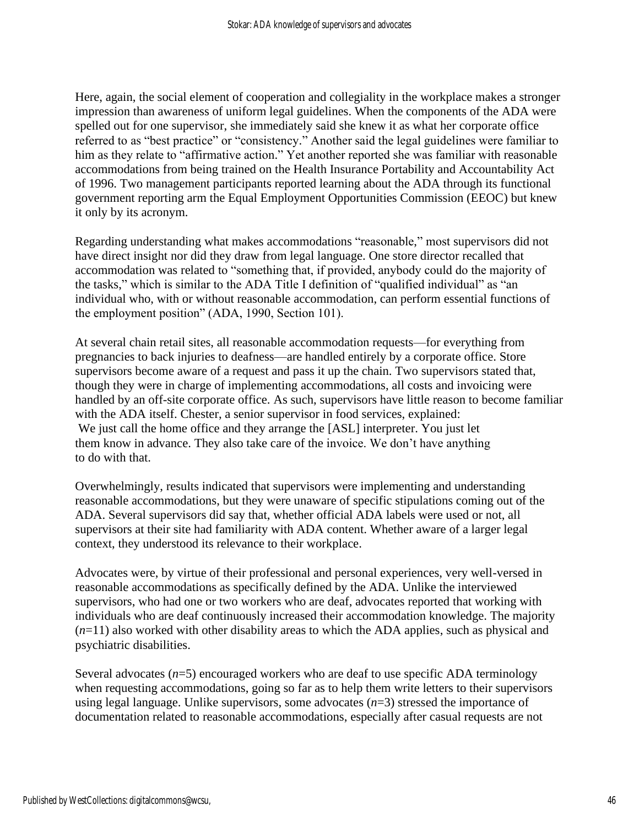Here, again, the social element of cooperation and collegiality in the workplace makes a stronger impression than awareness of uniform legal guidelines. When the components of the ADA were spelled out for one supervisor, she immediately said she knew it as what her corporate office referred to as "best practice" or "consistency." Another said the legal guidelines were familiar to him as they relate to "affirmative action." Yet another reported she was familiar with reasonable accommodations from being trained on the Health Insurance Portability and Accountability Act of 1996. Two management participants reported learning about the ADA through its functional government reporting arm the Equal Employment Opportunities Commission (EEOC) but knew it only by its acronym.

Regarding understanding what makes accommodations "reasonable," most supervisors did not have direct insight nor did they draw from legal language. One store director recalled that accommodation was related to "something that, if provided, anybody could do the majority of the tasks," which is similar to the ADA Title I definition of "qualified individual" as "an individual who, with or without reasonable accommodation, can perform essential functions of the employment position" (ADA, 1990, Section 101).

At several chain retail sites, all reasonable accommodation requests—for everything from pregnancies to back injuries to deafness—are handled entirely by a corporate office. Store supervisors become aware of a request and pass it up the chain. Two supervisors stated that, though they were in charge of implementing accommodations, all costs and invoicing were handled by an off-site corporate office. As such, supervisors have little reason to become familiar with the ADA itself. Chester, a senior supervisor in food services, explained: We just call the home office and they arrange the [ASL] interpreter. You just let them know in advance. They also take care of the invoice. We don't have anything to do with that.

Overwhelmingly, results indicated that supervisors were implementing and understanding reasonable accommodations, but they were unaware of specific stipulations coming out of the ADA. Several supervisors did say that, whether official ADA labels were used or not, all supervisors at their site had familiarity with ADA content. Whether aware of a larger legal context, they understood its relevance to their workplace.

Advocates were, by virtue of their professional and personal experiences, very well-versed in reasonable accommodations as specifically defined by the ADA. Unlike the interviewed supervisors, who had one or two workers who are deaf, advocates reported that working with individuals who are deaf continuously increased their accommodation knowledge. The majority (*n*=11) also worked with other disability areas to which the ADA applies, such as physical and psychiatric disabilities.

Several advocates  $(n=5)$  encouraged workers who are deaf to use specific ADA terminology when requesting accommodations, going so far as to help them write letters to their supervisors using legal language. Unlike supervisors, some advocates  $(n=3)$  stressed the importance of documentation related to reasonable accommodations, especially after casual requests are not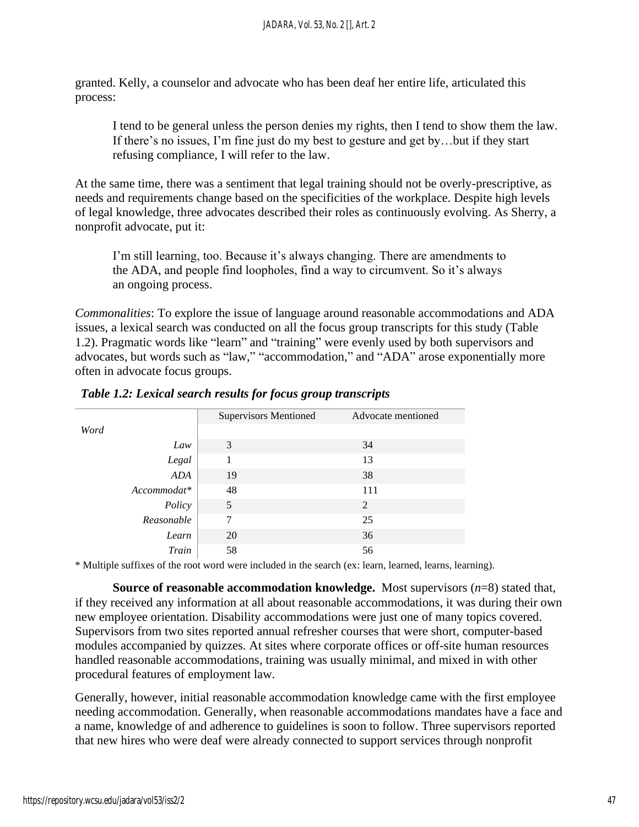granted. Kelly, a counselor and advocate who has been deaf her entire life, articulated this process:

I tend to be general unless the person denies my rights, then I tend to show them the law. If there's no issues, I'm fine just do my best to gesture and get by…but if they start refusing compliance, I will refer to the law.

At the same time, there was a sentiment that legal training should not be overly-prescriptive, as needs and requirements change based on the specificities of the workplace. Despite high levels of legal knowledge, three advocates described their roles as continuously evolving. As Sherry, a nonprofit advocate, put it:

I'm still learning, too. Because it's always changing. There are amendments to the ADA, and people find loopholes, find a way to circumvent. So it's always an ongoing process.

*Commonalities*: To explore the issue of language around reasonable accommodations and ADA issues, a lexical search was conducted on all the focus group transcripts for this study (Table 1.2). Pragmatic words like "learn" and "training" were evenly used by both supervisors and advocates, but words such as "law," "accommodation," and "ADA" arose exponentially more often in advocate focus groups.

|             | <b>Supervisors Mentioned</b> | Advocate mentioned |
|-------------|------------------------------|--------------------|
| Word        |                              |                    |
| Law         | 3                            | 34                 |
| Legal       |                              | 13                 |
| ADA         | 19                           | 38                 |
| Accommodat* | 48                           | 111                |
| Policy      | 5                            | 2                  |
| Reasonable  | 7                            | 25                 |
| Learn       | 20                           | 36                 |
| Train       | 58                           | 56                 |
|             |                              |                    |

\* Multiple suffixes of the root word were included in the search (ex: learn, learned, learns, learning).

**Source of reasonable accommodation knowledge.** Most supervisors (*n*=8) stated that, if they received any information at all about reasonable accommodations, it was during their own new employee orientation. Disability accommodations were just one of many topics covered. Supervisors from two sites reported annual refresher courses that were short, computer-based modules accompanied by quizzes. At sites where corporate offices or off-site human resources handled reasonable accommodations, training was usually minimal, and mixed in with other procedural features of employment law.

Generally, however, initial reasonable accommodation knowledge came with the first employee needing accommodation. Generally, when reasonable accommodations mandates have a face and a name, knowledge of and adherence to guidelines is soon to follow. Three supervisors reported that new hires who were deaf were already connected to support services through nonprofit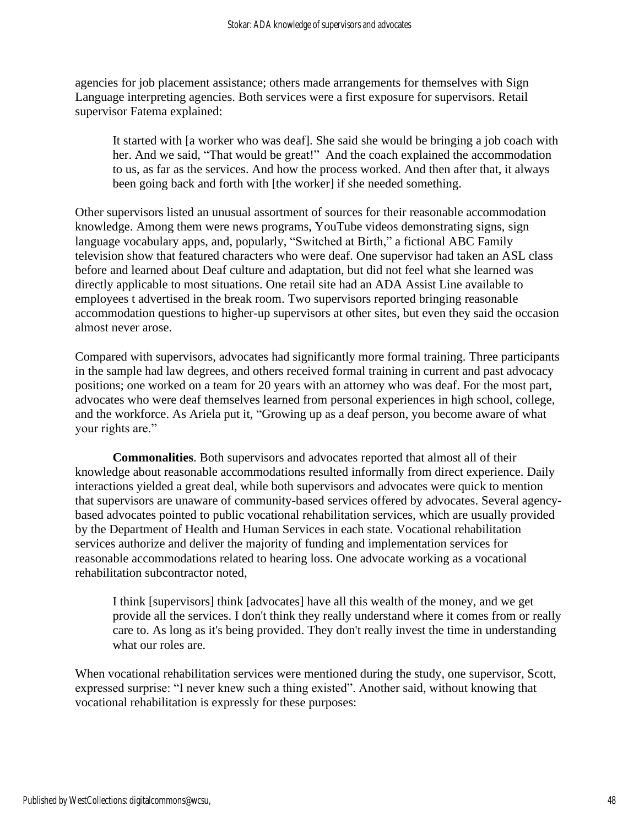agencies for job placement assistance; others made arrangements for themselves with Sign Language interpreting agencies. Both services were a first exposure for supervisors. Retail supervisor Fatema explained:

It started with [a worker who was deaf]. She said she would be bringing a job coach with her. And we said, "That would be great!" And the coach explained the accommodation to us, as far as the services. And how the process worked. And then after that, it always been going back and forth with [the worker] if she needed something.

Other supervisors listed an unusual assortment of sources for their reasonable accommodation knowledge. Among them were news programs, YouTube videos demonstrating signs, sign language vocabulary apps, and, popularly, "Switched at Birth," a fictional ABC Family television show that featured characters who were deaf. One supervisor had taken an ASL class before and learned about Deaf culture and adaptation, but did not feel what she learned was directly applicable to most situations. One retail site had an ADA Assist Line available to employees t advertised in the break room. Two supervisors reported bringing reasonable accommodation questions to higher-up supervisors at other sites, but even they said the occasion almost never arose.

Compared with supervisors, advocates had significantly more formal training. Three participants in the sample had law degrees, and others received formal training in current and past advocacy positions; one worked on a team for 20 years with an attorney who was deaf. For the most part, advocates who were deaf themselves learned from personal experiences in high school, college, and the workforce. As Ariela put it, "Growing up as a deaf person, you become aware of what your rights are."

**Commonalities**. Both supervisors and advocates reported that almost all of their knowledge about reasonable accommodations resulted informally from direct experience. Daily interactions yielded a great deal, while both supervisors and advocates were quick to mention that supervisors are unaware of community-based services offered by advocates. Several agencybased advocates pointed to public vocational rehabilitation services, which are usually provided by the Department of Health and Human Services in each state. Vocational rehabilitation services authorize and deliver the majority of funding and implementation services for reasonable accommodations related to hearing loss. One advocate working as a vocational rehabilitation subcontractor noted,

I think [supervisors] think [advocates] have all this wealth of the money, and we get provide all the services. I don't think they really understand where it comes from or really care to. As long as it's being provided. They don't really invest the time in understanding what our roles are.

When vocational rehabilitation services were mentioned during the study, one supervisor, Scott, expressed surprise: "I never knew such a thing existed". Another said, without knowing that vocational rehabilitation is expressly for these purposes: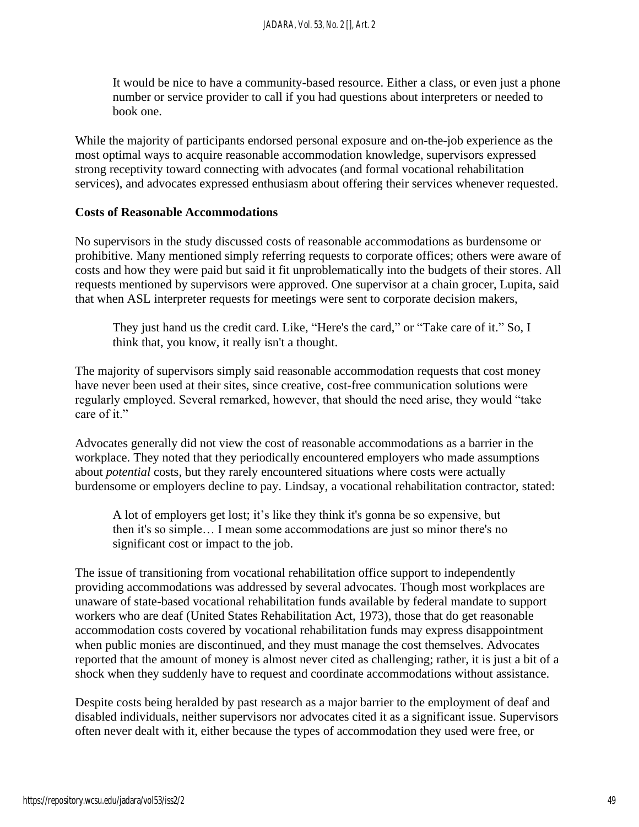It would be nice to have a community-based resource. Either a class, or even just a phone number or service provider to call if you had questions about interpreters or needed to book one.

While the majority of participants endorsed personal exposure and on-the-job experience as the most optimal ways to acquire reasonable accommodation knowledge, supervisors expressed strong receptivity toward connecting with advocates (and formal vocational rehabilitation services), and advocates expressed enthusiasm about offering their services whenever requested.

#### **Costs of Reasonable Accommodations**

No supervisors in the study discussed costs of reasonable accommodations as burdensome or prohibitive. Many mentioned simply referring requests to corporate offices; others were aware of costs and how they were paid but said it fit unproblematically into the budgets of their stores. All requests mentioned by supervisors were approved. One supervisor at a chain grocer, Lupita, said that when ASL interpreter requests for meetings were sent to corporate decision makers,

They just hand us the credit card. Like, "Here's the card," or "Take care of it." So, I think that, you know, it really isn't a thought.

The majority of supervisors simply said reasonable accommodation requests that cost money have never been used at their sites, since creative, cost-free communication solutions were regularly employed. Several remarked, however, that should the need arise, they would "take care of it."

Advocates generally did not view the cost of reasonable accommodations as a barrier in the workplace. They noted that they periodically encountered employers who made assumptions about *potential* costs, but they rarely encountered situations where costs were actually burdensome or employers decline to pay. Lindsay, a vocational rehabilitation contractor, stated:

A lot of employers get lost; it's like they think it's gonna be so expensive, but then it's so simple… I mean some accommodations are just so minor there's no significant cost or impact to the job.

The issue of transitioning from vocational rehabilitation office support to independently providing accommodations was addressed by several advocates. Though most workplaces are unaware of state-based vocational rehabilitation funds available by federal mandate to support workers who are deaf (United States Rehabilitation Act, 1973), those that do get reasonable accommodation costs covered by vocational rehabilitation funds may express disappointment when public monies are discontinued, and they must manage the cost themselves. Advocates reported that the amount of money is almost never cited as challenging; rather, it is just a bit of a shock when they suddenly have to request and coordinate accommodations without assistance.

Despite costs being heralded by past research as a major barrier to the employment of deaf and disabled individuals, neither supervisors nor advocates cited it as a significant issue. Supervisors often never dealt with it, either because the types of accommodation they used were free, or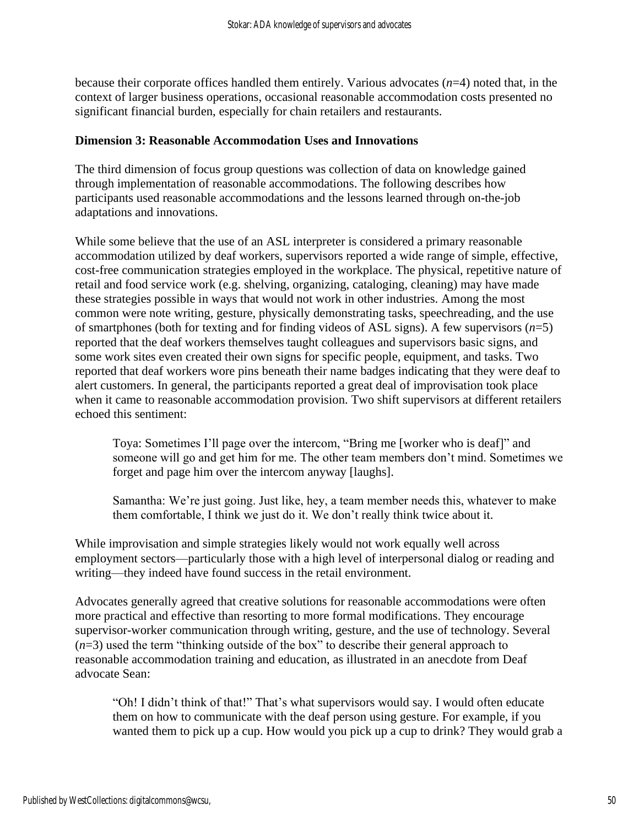because their corporate offices handled them entirely. Various advocates (*n*=4) noted that, in the context of larger business operations, occasional reasonable accommodation costs presented no significant financial burden, especially for chain retailers and restaurants.

## **Dimension 3: Reasonable Accommodation Uses and Innovations**

The third dimension of focus group questions was collection of data on knowledge gained through implementation of reasonable accommodations. The following describes how participants used reasonable accommodations and the lessons learned through on-the-job adaptations and innovations.

While some believe that the use of an ASL interpreter is considered a primary reasonable accommodation utilized by deaf workers, supervisors reported a wide range of simple, effective, cost-free communication strategies employed in the workplace. The physical, repetitive nature of retail and food service work (e.g. shelving, organizing, cataloging, cleaning) may have made these strategies possible in ways that would not work in other industries. Among the most common were note writing, gesture, physically demonstrating tasks, speechreading, and the use of smartphones (both for texting and for finding videos of ASL signs). A few supervisors (*n*=5) reported that the deaf workers themselves taught colleagues and supervisors basic signs, and some work sites even created their own signs for specific people, equipment, and tasks. Two reported that deaf workers wore pins beneath their name badges indicating that they were deaf to alert customers. In general, the participants reported a great deal of improvisation took place when it came to reasonable accommodation provision. Two shift supervisors at different retailers echoed this sentiment:

Toya: Sometimes I'll page over the intercom, "Bring me [worker who is deaf]" and someone will go and get him for me. The other team members don't mind. Sometimes we forget and page him over the intercom anyway [laughs].

Samantha: We're just going. Just like, hey, a team member needs this, whatever to make them comfortable, I think we just do it. We don't really think twice about it.

While improvisation and simple strategies likely would not work equally well across employment sectors—particularly those with a high level of interpersonal dialog or reading and writing—they indeed have found success in the retail environment.

Advocates generally agreed that creative solutions for reasonable accommodations were often more practical and effective than resorting to more formal modifications. They encourage supervisor-worker communication through writing, gesture, and the use of technology. Several (*n*=3) used the term "thinking outside of the box" to describe their general approach to reasonable accommodation training and education, as illustrated in an anecdote from Deaf advocate Sean:

"Oh! I didn't think of that!" That's what supervisors would say. I would often educate them on how to communicate with the deaf person using gesture. For example, if you wanted them to pick up a cup. How would you pick up a cup to drink? They would grab a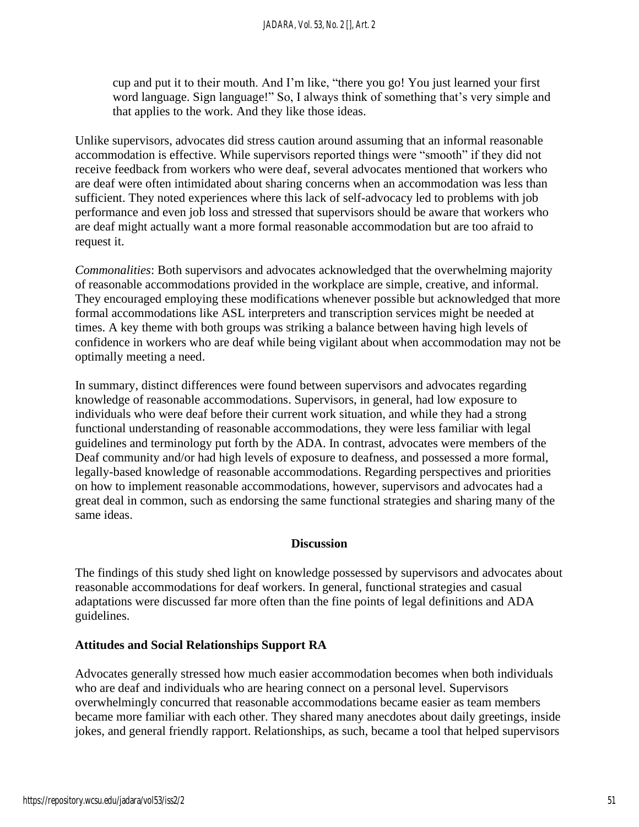cup and put it to their mouth. And I'm like, "there you go! You just learned your first word language. Sign language!" So, I always think of something that's very simple and that applies to the work. And they like those ideas.

Unlike supervisors, advocates did stress caution around assuming that an informal reasonable accommodation is effective. While supervisors reported things were "smooth" if they did not receive feedback from workers who were deaf, several advocates mentioned that workers who are deaf were often intimidated about sharing concerns when an accommodation was less than sufficient. They noted experiences where this lack of self-advocacy led to problems with job performance and even job loss and stressed that supervisors should be aware that workers who are deaf might actually want a more formal reasonable accommodation but are too afraid to request it.

*Commonalities*: Both supervisors and advocates acknowledged that the overwhelming majority of reasonable accommodations provided in the workplace are simple, creative, and informal. They encouraged employing these modifications whenever possible but acknowledged that more formal accommodations like ASL interpreters and transcription services might be needed at times. A key theme with both groups was striking a balance between having high levels of confidence in workers who are deaf while being vigilant about when accommodation may not be optimally meeting a need.

In summary, distinct differences were found between supervisors and advocates regarding knowledge of reasonable accommodations. Supervisors, in general, had low exposure to individuals who were deaf before their current work situation, and while they had a strong functional understanding of reasonable accommodations, they were less familiar with legal guidelines and terminology put forth by the ADA. In contrast, advocates were members of the Deaf community and/or had high levels of exposure to deafness, and possessed a more formal, legally-based knowledge of reasonable accommodations. Regarding perspectives and priorities on how to implement reasonable accommodations, however, supervisors and advocates had a great deal in common, such as endorsing the same functional strategies and sharing many of the same ideas.

## **Discussion**

The findings of this study shed light on knowledge possessed by supervisors and advocates about reasonable accommodations for deaf workers. In general, functional strategies and casual adaptations were discussed far more often than the fine points of legal definitions and ADA guidelines.

## **Attitudes and Social Relationships Support RA**

Advocates generally stressed how much easier accommodation becomes when both individuals who are deaf and individuals who are hearing connect on a personal level. Supervisors overwhelmingly concurred that reasonable accommodations became easier as team members became more familiar with each other. They shared many anecdotes about daily greetings, inside jokes, and general friendly rapport. Relationships, as such, became a tool that helped supervisors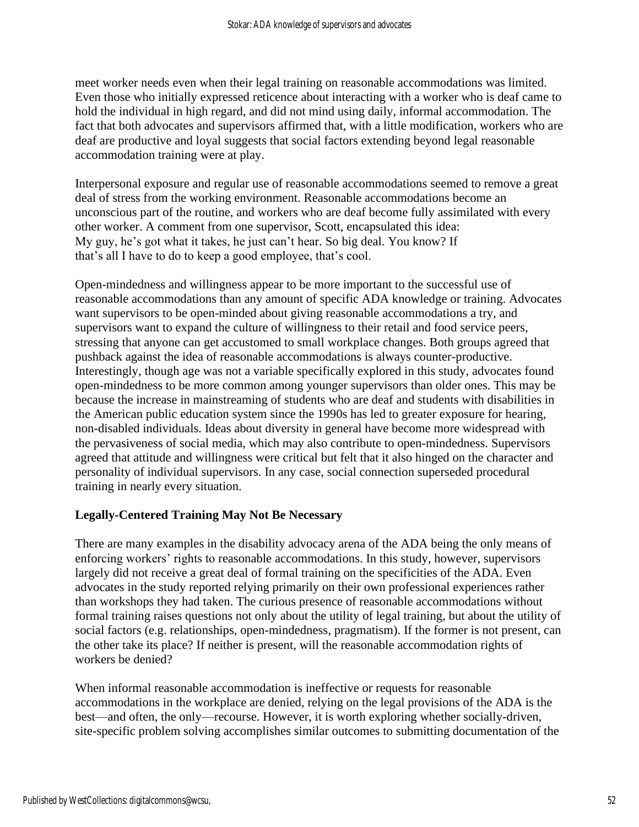meet worker needs even when their legal training on reasonable accommodations was limited. Even those who initially expressed reticence about interacting with a worker who is deaf came to hold the individual in high regard, and did not mind using daily, informal accommodation. The fact that both advocates and supervisors affirmed that, with a little modification, workers who are deaf are productive and loyal suggests that social factors extending beyond legal reasonable accommodation training were at play.

Interpersonal exposure and regular use of reasonable accommodations seemed to remove a great deal of stress from the working environment. Reasonable accommodations become an unconscious part of the routine, and workers who are deaf become fully assimilated with every other worker. A comment from one supervisor, Scott, encapsulated this idea: My guy, he's got what it takes, he just can't hear. So big deal. You know? If that's all I have to do to keep a good employee, that's cool.

Open-mindedness and willingness appear to be more important to the successful use of reasonable accommodations than any amount of specific ADA knowledge or training. Advocates want supervisors to be open-minded about giving reasonable accommodations a try, and supervisors want to expand the culture of willingness to their retail and food service peers, stressing that anyone can get accustomed to small workplace changes. Both groups agreed that pushback against the idea of reasonable accommodations is always counter-productive. Interestingly, though age was not a variable specifically explored in this study, advocates found open-mindedness to be more common among younger supervisors than older ones. This may be because the increase in mainstreaming of students who are deaf and students with disabilities in the American public education system since the 1990s has led to greater exposure for hearing, non-disabled individuals. Ideas about diversity in general have become more widespread with the pervasiveness of social media, which may also contribute to open-mindedness. Supervisors agreed that attitude and willingness were critical but felt that it also hinged on the character and personality of individual supervisors. In any case, social connection superseded procedural training in nearly every situation.

## **Legally-Centered Training May Not Be Necessary**

There are many examples in the disability advocacy arena of the ADA being the only means of enforcing workers' rights to reasonable accommodations. In this study, however, supervisors largely did not receive a great deal of formal training on the specificities of the ADA. Even advocates in the study reported relying primarily on their own professional experiences rather than workshops they had taken. The curious presence of reasonable accommodations without formal training raises questions not only about the utility of legal training, but about the utility of social factors (e.g. relationships, open-mindedness, pragmatism). If the former is not present, can the other take its place? If neither is present, will the reasonable accommodation rights of workers be denied?

When informal reasonable accommodation is ineffective or requests for reasonable accommodations in the workplace are denied, relying on the legal provisions of the ADA is the best—and often, the only—recourse. However, it is worth exploring whether socially-driven, site-specific problem solving accomplishes similar outcomes to submitting documentation of the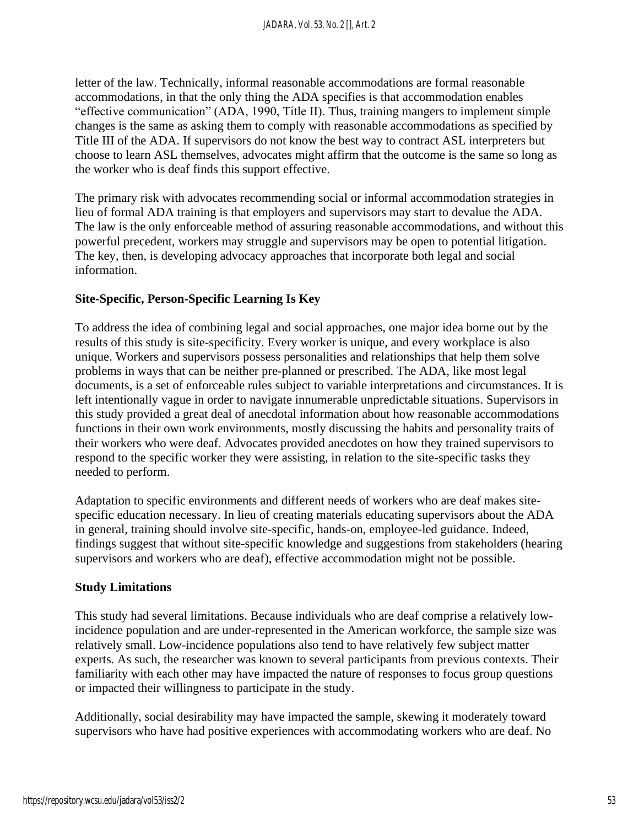letter of the law. Technically, informal reasonable accommodations are formal reasonable accommodations, in that the only thing the ADA specifies is that accommodation enables "effective communication" (ADA, 1990, Title II). Thus, training mangers to implement simple changes is the same as asking them to comply with reasonable accommodations as specified by Title III of the ADA. If supervisors do not know the best way to contract ASL interpreters but choose to learn ASL themselves, advocates might affirm that the outcome is the same so long as the worker who is deaf finds this support effective.

The primary risk with advocates recommending social or informal accommodation strategies in lieu of formal ADA training is that employers and supervisors may start to devalue the ADA. The law is the only enforceable method of assuring reasonable accommodations, and without this powerful precedent, workers may struggle and supervisors may be open to potential litigation. The key, then, is developing advocacy approaches that incorporate both legal and social information.

## **Site-Specific, Person-Specific Learning Is Key**

To address the idea of combining legal and social approaches, one major idea borne out by the results of this study is site-specificity. Every worker is unique, and every workplace is also unique. Workers and supervisors possess personalities and relationships that help them solve problems in ways that can be neither pre-planned or prescribed. The ADA, like most legal documents, is a set of enforceable rules subject to variable interpretations and circumstances. It is left intentionally vague in order to navigate innumerable unpredictable situations. Supervisors in this study provided a great deal of anecdotal information about how reasonable accommodations functions in their own work environments, mostly discussing the habits and personality traits of their workers who were deaf. Advocates provided anecdotes on how they trained supervisors to respond to the specific worker they were assisting, in relation to the site-specific tasks they needed to perform.

Adaptation to specific environments and different needs of workers who are deaf makes sitespecific education necessary. In lieu of creating materials educating supervisors about the ADA in general, training should involve site-specific, hands-on, employee-led guidance. Indeed, findings suggest that without site-specific knowledge and suggestions from stakeholders (hearing supervisors and workers who are deaf), effective accommodation might not be possible.

## **Study Limitations**

This study had several limitations. Because individuals who are deaf comprise a relatively lowincidence population and are under-represented in the American workforce, the sample size was relatively small. Low-incidence populations also tend to have relatively few subject matter experts. As such, the researcher was known to several participants from previous contexts. Their familiarity with each other may have impacted the nature of responses to focus group questions or impacted their willingness to participate in the study.

Additionally, social desirability may have impacted the sample, skewing it moderately toward supervisors who have had positive experiences with accommodating workers who are deaf. No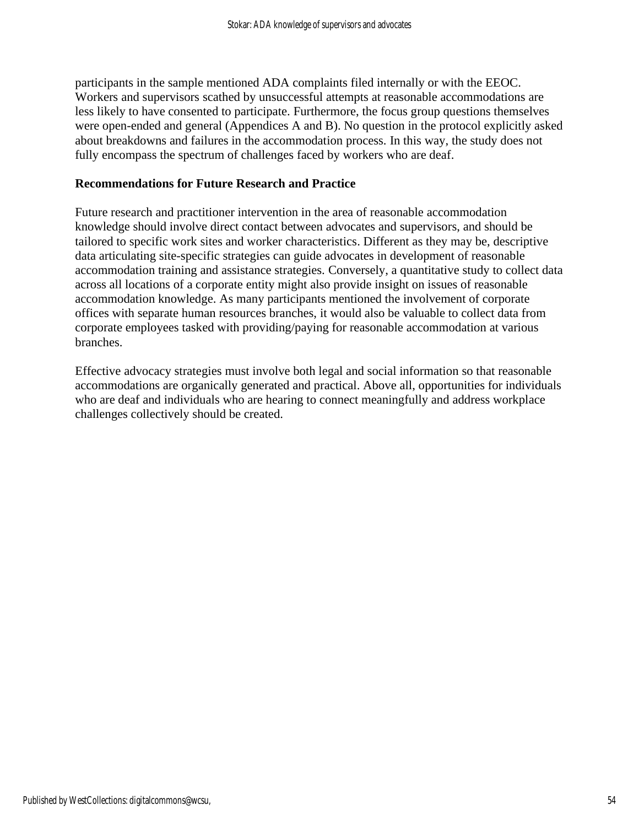participants in the sample mentioned ADA complaints filed internally or with the EEOC. Workers and supervisors scathed by unsuccessful attempts at reasonable accommodations are less likely to have consented to participate. Furthermore, the focus group questions themselves were open-ended and general (Appendices A and B). No question in the protocol explicitly asked about breakdowns and failures in the accommodation process. In this way, the study does not fully encompass the spectrum of challenges faced by workers who are deaf.

## **Recommendations for Future Research and Practice**

Future research and practitioner intervention in the area of reasonable accommodation knowledge should involve direct contact between advocates and supervisors, and should be tailored to specific work sites and worker characteristics. Different as they may be, descriptive data articulating site-specific strategies can guide advocates in development of reasonable accommodation training and assistance strategies. Conversely, a quantitative study to collect data across all locations of a corporate entity might also provide insight on issues of reasonable accommodation knowledge. As many participants mentioned the involvement of corporate offices with separate human resources branches, it would also be valuable to collect data from corporate employees tasked with providing/paying for reasonable accommodation at various branches.

Effective advocacy strategies must involve both legal and social information so that reasonable accommodations are organically generated and practical. Above all, opportunities for individuals who are deaf and individuals who are hearing to connect meaningfully and address workplace challenges collectively should be created.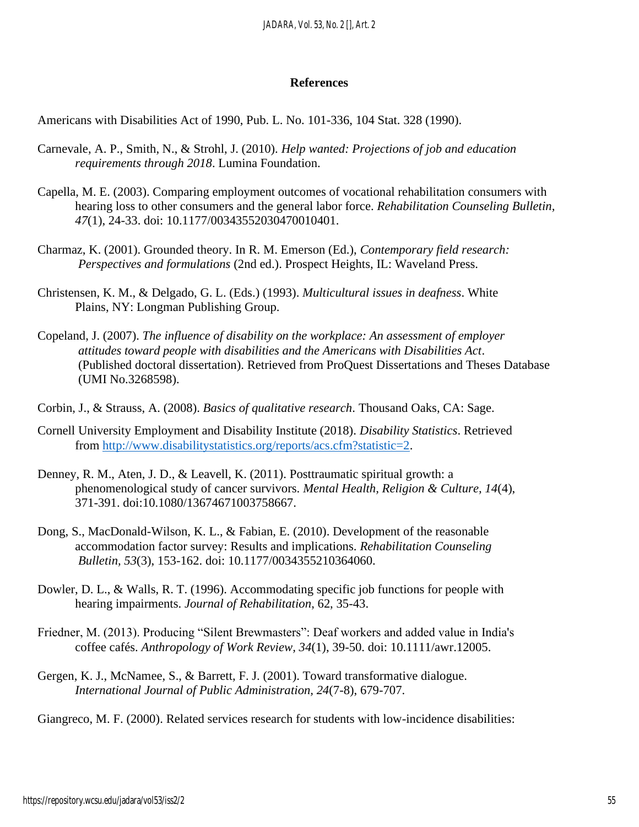#### **References**

Americans with Disabilities Act of 1990, Pub. L. No. 101-336, 104 Stat. 328 (1990).

- Carnevale, A. P., Smith, N., & Strohl, J. (2010). *Help wanted: Projections of job and education requirements through 2018*. Lumina Foundation.
- Capella, M. E. (2003). Comparing employment outcomes of vocational rehabilitation consumers with hearing loss to other consumers and the general labor force. *Rehabilitation Counseling Bulletin, 47*(1), 24-33. doi: 10.1177/00343552030470010401.
- Charmaz, K. (2001). Grounded theory. In R. M. Emerson (Ed.), *Contemporary field research: Perspectives and formulations* (2nd ed.). Prospect Heights, IL: Waveland Press.
- Christensen, K. M., & Delgado, G. L. (Eds.) (1993). *Multicultural issues in deafness*. White Plains, NY: Longman Publishing Group.
- Copeland, J. (2007). *The influence of disability on the workplace: An assessment of employer attitudes toward people with disabilities and the Americans with Disabilities Act*. (Published doctoral dissertation). Retrieved from ProQuest Dissertations and Theses Database (UMI No.3268598).
- Corbin, J., & Strauss, A. (2008). *Basics of qualitative research*. Thousand Oaks, CA: Sage.
- Cornell University Employment and Disability Institute (2018). *Disability Statistics*. Retrieved from [http://www.disabilitystatistics.org/reports/acs.cfm?statistic=2.](http://www.disabilitystatistics.org/reports/acs.cfm?statistic=2)
- Denney, R. M., Aten, J. D., & Leavell, K. (2011). Posttraumatic spiritual growth: a phenomenological study of cancer survivors. *Mental Health, Religion & Culture, 14*(4), 371-391. doi:10.1080/13674671003758667.
- Dong, S., MacDonald-Wilson, K. L., & Fabian, E. (2010). Development of the reasonable accommodation factor survey: Results and implications. *Rehabilitation Counseling Bulletin, 53*(3), 153-162. doi: 10.1177/0034355210364060.
- Dowler, D. L., & Walls, R. T. (1996). Accommodating specific job functions for people with hearing impairments. *Journal of Rehabilitation*, 62, 35-43.
- Friedner, M. (2013). Producing "Silent Brewmasters": Deaf workers and added value in India's coffee cafés. *Anthropology of Work Review, 34*(1), 39-50. doi: 10.1111/awr.12005.
- Gergen, K. J., McNamee, S., & Barrett, F. J. (2001). Toward transformative dialogue. *International Journal of Public Administration, 24*(7-8), 679-707.

Giangreco, M. F. (2000). Related services research for students with low-incidence disabilities: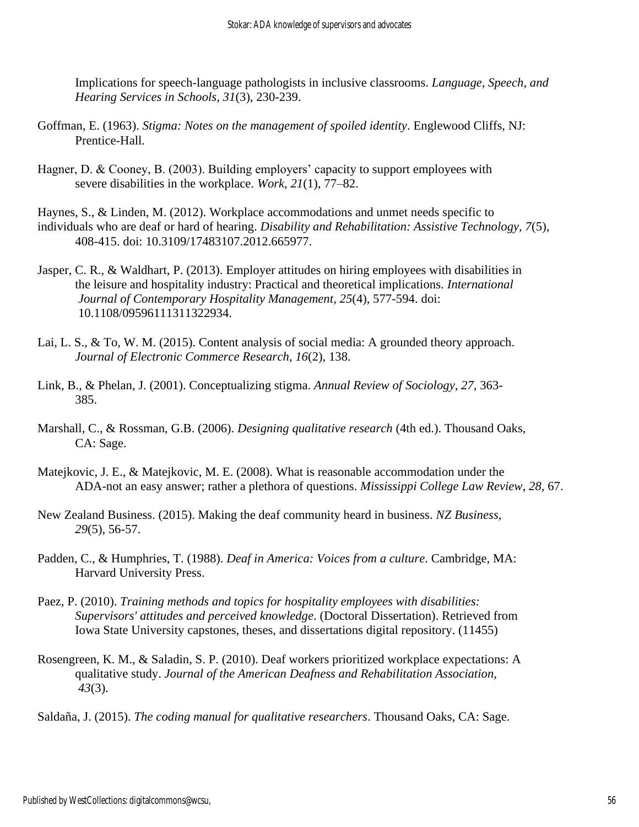Implications for speech-language pathologists in inclusive classrooms. *Language, Speech, and Hearing Services in Schools, 31*(3), 230-239.

- Goffman, E. (1963). *Stigma: Notes on the management of spoiled identity*. Englewood Cliffs, NJ: Prentice-Hall.
- Hagner, D. & Cooney, B. (2003). Building employers' capacity to support employees with severe disabilities in the workplace. *Work, 21*(1), 77–82.
- Haynes, S., & Linden, M. (2012). Workplace accommodations and unmet needs specific to individuals who are deaf or hard of hearing. *Disability and Rehabilitation: Assistive Technology, 7*(5), 408-415. doi: 10.3109/17483107.2012.665977.
- Jasper, C. R., & Waldhart, P. (2013). Employer attitudes on hiring employees with disabilities in the leisure and hospitality industry: Practical and theoretical implications. *International Journal of Contemporary Hospitality Management, 25*(4), 577-594. doi: 10.1108/09596111311322934.
- Lai, L. S., & To, W. M. (2015). Content analysis of social media: A grounded theory approach. *Journal of Electronic Commerce Research, 16*(2), 138.
- Link, B., & Phelan, J. (2001). Conceptualizing stigma. *Annual Review of Sociology*, *27*, 363- 385.
- Marshall, C., & Rossman, G.B. (2006). *Designing qualitative research* (4th ed.). Thousand Oaks, CA: Sage.
- Matejkovic, J. E., & Matejkovic, M. E. (2008). What is reasonable accommodation under the ADA-not an easy answer; rather a plethora of questions. *Mississippi College Law Review*, *28*, 67.
- New Zealand Business. (2015). Making the deaf community heard in business. *NZ Business, 29*(5), 56-57.
- Padden, C., & Humphries, T. (1988). *Deaf in America: Voices from a culture*. Cambridge, MA: Harvard University Press.
- Paez, P. (2010). *Training methods and topics for hospitality employees with disabilities: Supervisors' attitudes and perceived knowledge*. (Doctoral Dissertation). Retrieved from Iowa State University capstones, theses, and dissertations digital repository. (11455)
- Rosengreen, K. M., & Saladin, S. P. (2010). Deaf workers prioritized workplace expectations: A qualitative study. *Journal of the American Deafness and Rehabilitation Association, 43*(3).

Saldaña, J. (2015). *The coding manual for qualitative researchers*. Thousand Oaks, CA: Sage.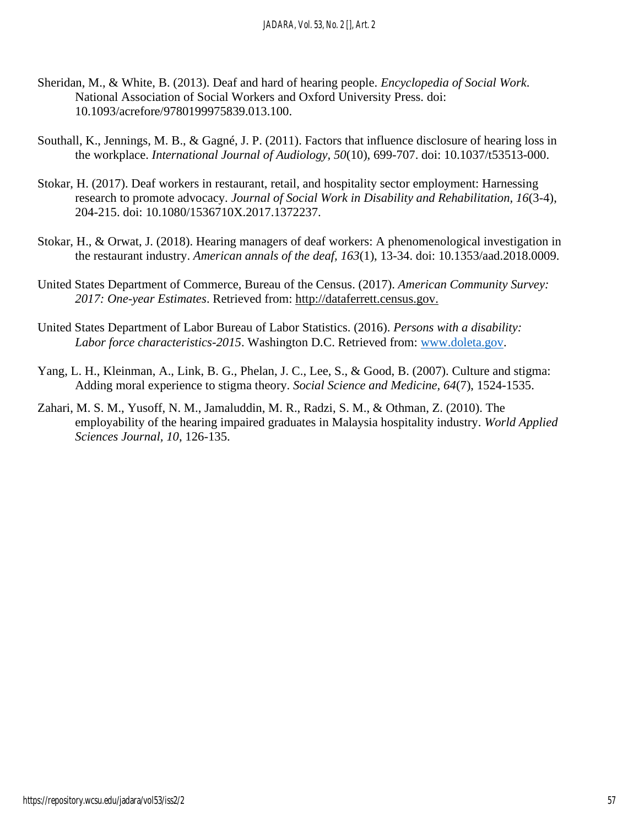- Sheridan, M., & White, B. (2013). Deaf and hard of hearing people. *Encyclopedia of Social Work*. National Association of Social Workers and Oxford University Press. doi: 10.1093/acrefore/9780199975839.013.100.
- Southall, K., Jennings, M. B., & Gagné, J. P. (2011). Factors that influence disclosure of hearing loss in the workplace. *International Journal of Audiology, 50*(10), 699-707. doi: 10.1037/t53513-000.
- Stokar, H. (2017). Deaf workers in restaurant, retail, and hospitality sector employment: Harnessing research to promote advocacy. *Journal of Social Work in Disability and Rehabilitation, 16*(3-4), 204-215. doi: 10.1080/1536710X.2017.1372237.
- Stokar, H., & Orwat, J. (2018). Hearing managers of deaf workers: A phenomenological investigation in the restaurant industry. *American annals of the deaf, 163*(1), 13-34. doi: 10.1353/aad.2018.0009.
- United States Department of Commerce, Bureau of the Census. (2017). *American Community Survey: 2017: One-year Estimates*. Retrieved from: [http://dataferrett.census.gov.](http://dataferrett.census.gov/)
- United States Department of Labor Bureau of Labor Statistics. (2016). *Persons with a disability: Labor force characteristics-2015*. Washington D.C. Retrieved from: [www.doleta.gov.](http://www.doleta.gov/)
- Yang, L. H., Kleinman, A., Link, B. G., Phelan, J. C., Lee, S., & Good, B. (2007). Culture and stigma: Adding moral experience to stigma theory. *Social Science and Medicine, 64*(7), 1524-1535.
- Zahari, M. S. M., Yusoff, N. M., Jamaluddin, M. R., Radzi, S. M., & Othman, Z. (2010). The employability of the hearing impaired graduates in Malaysia hospitality industry. *World Applied Sciences Journal, 10*, 126-135.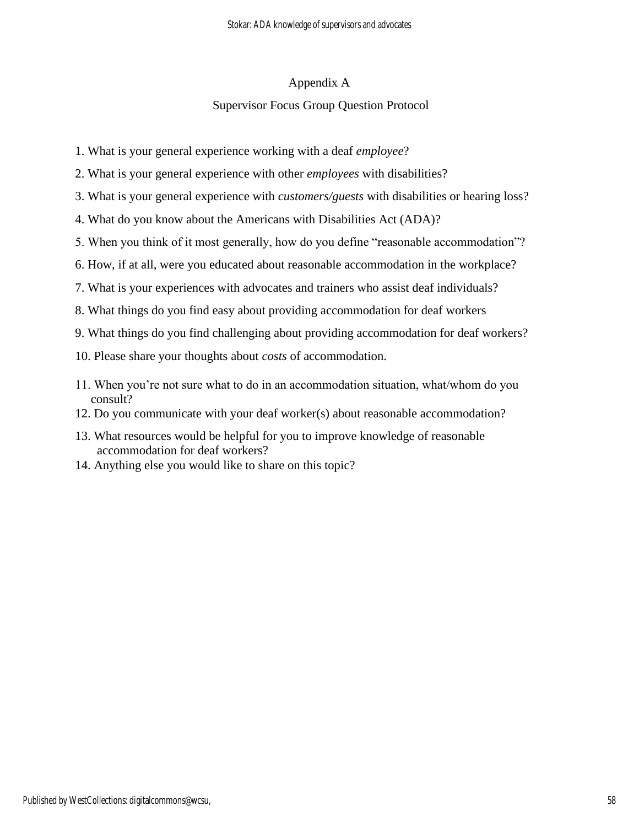## Appendix A

## Supervisor Focus Group Question Protocol

- 1. What is your general experience working with a deaf *employee*?
- 2. What is your general experience with other *employees* with disabilities?
- 3. What is your general experience with *customers/guests* with disabilities or hearing loss?
- 4. What do you know about the Americans with Disabilities Act (ADA)?
- 5. When you think of it most generally, how do you define "reasonable accommodation"?
- 6. How, if at all, were you educated about reasonable accommodation in the workplace?
- 7. What is your experiences with advocates and trainers who assist deaf individuals?
- 8. What things do you find easy about providing accommodation for deaf workers
- 9. What things do you find challenging about providing accommodation for deaf workers?
- 10. Please share your thoughts about *costs* of accommodation.
- 11. When you're not sure what to do in an accommodation situation, what/whom do you consult?
- 12. Do you communicate with your deaf worker(s) about reasonable accommodation?
- 13. What resources would be helpful for you to improve knowledge of reasonable accommodation for deaf workers?
- 14. Anything else you would like to share on this topic?